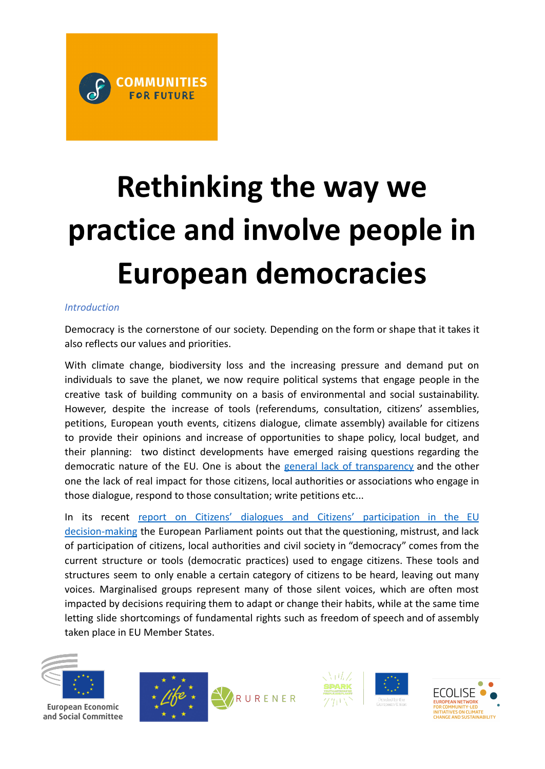# **Rethinking the way we practice and involve people in European democracies**

## *Introduction*

Democracy is the cornerstone of our society. Depending on the form or shape that it takes it also reflects our values and priorities.

With climate change, biodiversity loss and the increasing pressure and demand put on individuals to save the planet, we now require political systems that engage people in the creative task of building community on a basis of environmental and social sustainability. However, despite the increase of tools (referendums, consultation, citizens' assemblies, petitions, European youth events, citizens dialogue, climate assembly) available for citizens to provide their opinions and increase of opportunities to shape policy, local budget, and their planning: two distinct developments have emerged raising questions regarding the democratic nature of the EU. One is about the general lack of [transparency](https://ccre.org/en/actualites/view/4133) and the other one the lack of real impact for those citizens, local authorities or associations who engage in those dialogue, respond to those consultation; write petitions etc...

In its recent report on Citizens' dialogues and Citizens' [participation](https://www.europarl.europa.eu/doceo/document/A-9-2021-0213_EN.html) in the EU [decision-making](https://www.europarl.europa.eu/doceo/document/A-9-2021-0213_EN.html) the European Parliament points out that the questioning, mistrust, and lack of participation of citizens, local authorities and civil society in "democracy" comes from the current structure or tools (democratic practices) used to engage citizens. These tools and structures seem to only enable a certain category of citizens to be heard, leaving out many voices. Marginalised groups represent many of those silent voices, which are often most impacted by decisions requiring them to adapt or change their habits, while at the same time letting slide shortcomings of fundamental rights such as freedom of speech and of assembly taken place in EU Member States.



**European Economic** and Social Committee







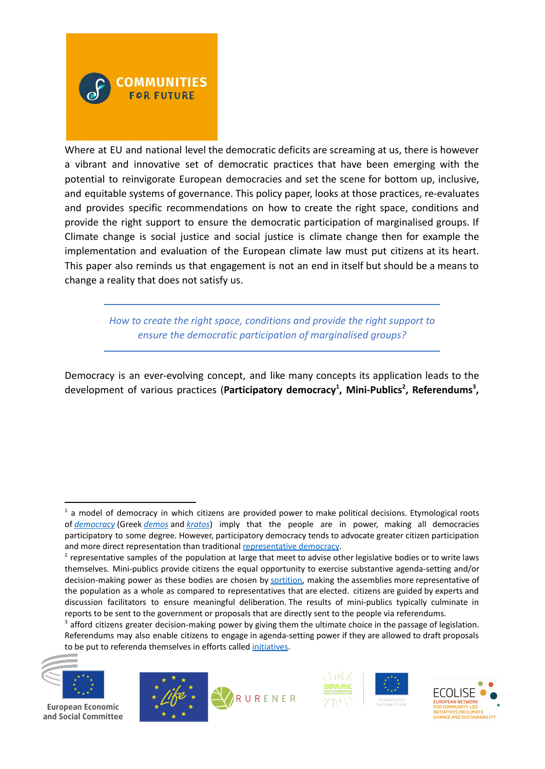

Where at EU and national level the democratic deficits are screaming at us, there is however a vibrant and innovative set of democratic practices that have been emerging with the potential to reinvigorate European democracies and set the scene for bottom up, inclusive, and equitable systems of governance. This policy paper, looks at those practices, re-evaluates and provides specific recommendations on how to create the right space, conditions and provide the right support to ensure the democratic participation of marginalised groups. If Climate change is social justice and social justice is climate change then for example the implementation and evaluation of the European climate law must put citizens at its heart. This paper also reminds us that engagement is not an end in itself but should be a means to change a reality that does not satisfy us.

> *How to create the right space, conditions and provide the right support to ensure the democratic participation of marginalised groups?*

Democracy is an ever-evolving concept, and like many concepts its application leads to the development of various practices (**Participatory democracy<sup>1</sup> , Mini-Publics<sup>2</sup> , Referendums<sup>3</sup> ,**

 $3$  afford citizens greater decision-making power by giving them the ultimate choice in the passage of legislation. Referendums may also enable citizens to engage in agenda-setting power if they are allowed to draft proposals to be put to referenda themselves in efforts called [initiatives](https://en.wikipedia.org/wiki/Initiatives_and_referenda).



**European Economic** and Social Committee









 $<sup>1</sup>$  a model of democracy in which citizens are provided power to make political decisions. Etymological roots</sup> of *[democracy](https://en.wikipedia.org/wiki/Democracy)* (Greek *[demos](https://en.wiktionary.org/wiki/demos)* and *[kratos](https://en.wiktionary.org/wiki/%CE%BA%CF%81%CE%AC%CF%84%CE%BF%CF%82)*) imply that the people are in power, making all democracies participatory to some degree. However, participatory democracy tends to advocate greater citizen participation and more direct representation than traditional [representative](https://en.wikipedia.org/wiki/Representative_democracy) democracy.

 $2$  representative samples of the population at large that meet to advise other legislative bodies or to write laws themselves. Mini-publics provide citizens the equal opportunity to exercise substantive agenda-setting and/or decision-making power as these bodies are chosen by [sortition,](https://en.wikipedia.org/wiki/Sortition) making the assemblies more representative of the population as a whole as compared to representatives that are elected. citizens are guided by experts and discussion facilitators to ensure meaningful deliberation. The results of mini-publics typically culminate in reports to be sent to the government or proposals that are directly sent to the people via referendums.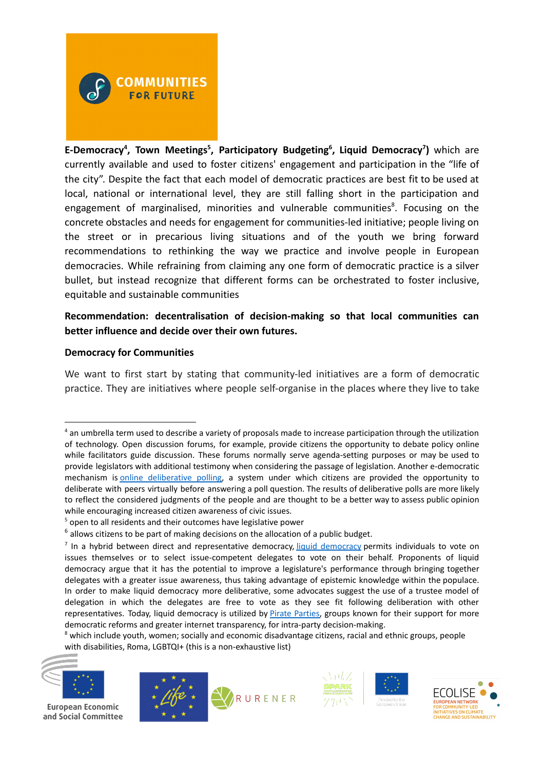

**E-Democracy<sup>4</sup> , Town Meetings<sup>5</sup> , Participatory Budgeting<sup>6</sup> , Liquid Democracy<sup>7</sup> )** which are currently available and used to foster citizens' engagement and participation in the "life of the city". Despite the fact that each model of democratic practices are best fit to be used at local, national or international level, they are still falling short in the participation and engagement of marginalised, minorities and vulnerable communities<sup>8</sup>. Focusing on the concrete obstacles and needs for engagement for communities-led initiative; people living on the street or in precarious living situations and of the youth we bring forward recommendations to rethinking the way we practice and involve people in European democracies. While refraining from claiming any one form of democratic practice is a silver bullet, but instead recognize that different forms can be orchestrated to foster inclusive, equitable and sustainable communities

# **Recommendation: decentralisation of decision-making so that local communities can better influence and decide over their own futures.**

## **Democracy for Communities**

We want to first start by stating that community-led initiatives are a form of democratic practice. They are initiatives where people self-organise in the places where they live to take

 $8$  which include youth, women; socially and economic disadvantage citizens, racial and ethnic groups, people with disabilities, Roma, LGBTQI+ (this is a non-exhaustive list)



**European Economic** and Social Committee









<sup>4</sup> an umbrella term used to describe a variety of proposals made to increase participation through the utilization of technology. Open discussion forums, for example, provide citizens the opportunity to debate policy online while facilitators guide discussion. These forums normally serve agenda-setting purposes or may be used to provide legislators with additional testimony when considering the passage of legislation. Another e-democratic mechanism is online [deliberative](https://en.wikipedia.org/wiki/Online_deliberation) polling, a system under which citizens are provided the opportunity to deliberate with peers virtually before answering a poll question. The results of deliberative polls are more likely to reflect the considered judgments of the people and are thought to be a better way to assess public opinion while encouraging increased citizen awareness of civic issues.

<sup>&</sup>lt;sup>5</sup> open to all residents and their outcomes have legislative power

 $6$  allows citizens to be part of making decisions on the allocation of a public budget.

<sup>&</sup>lt;sup>7</sup> In a hybrid between direct and representative [democracy](https://en.wikipedia.org/wiki/Liquid_democracy), liquid democracy permits individuals to vote on issues themselves or to select issue-competent delegates to vote on their behalf. Proponents of liquid democracy argue that it has the potential to improve a legislature's performance through bringing together delegates with a greater issue awareness, thus taking advantage of epistemic knowledge within the populace. In order to make liquid democracy more deliberative, some advocates suggest the use of a trustee model of delegation in which the delegates are free to vote as they see fit following deliberation with other representatives. Today, liquid democracy is utilized by *Pirate Parties*, groups known for their support for more democratic reforms and greater internet transparency, for intra-party decision-making.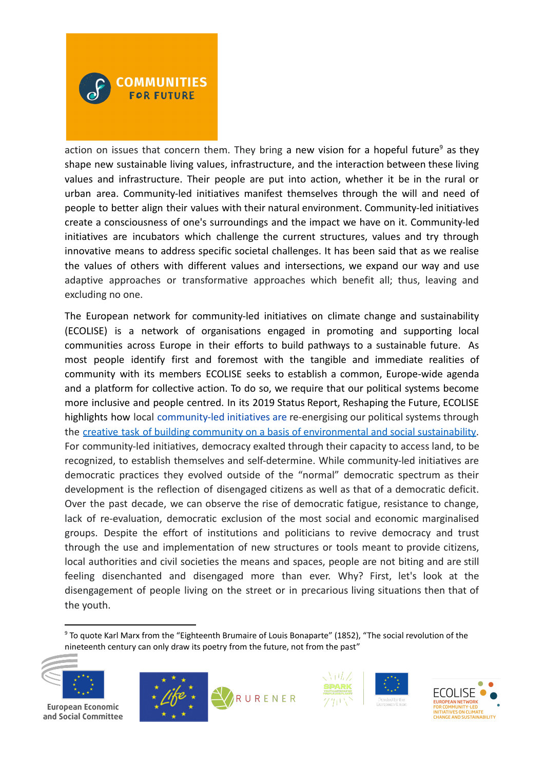

action on issues that concern them. They bring a new vision for a hopeful future<sup>9</sup> as they shape new sustainable living values, infrastructure, and the interaction between these living values and infrastructure. Their people are put into action, whether it be in the rural or urban area. Community-led initiatives manifest themselves through the will and need of people to better align their values with their natural environment. Community-led initiatives create a consciousness of one's surroundings and the impact we have on it. Community-led initiatives are incubators which challenge the current structures, values and try through innovative means to address specific societal challenges. It has been said that as we realise the values of others with different values and intersections, we expand our way and use adaptive approaches or transformative approaches which benefit all; thus, leaving and excluding no one.

The European network for community-led initiatives on climate change and sustainability (ECOLISE) is a network of organisations engaged in promoting and supporting local communities across Europe in their efforts to build pathways to a sustainable future. As most people identify first and foremost with the tangible and immediate realities of community with its members ECOLISE seeks to establish a common, Europe-wide agenda and a platform for collective action. To do so, we require that our political systems become more inclusive and people centred. In its 2019 Status Report, Reshaping the Future, ECOLISE highlights how local [community-led](https://wiki.communitiesforfuture.org/wiki/Community-led_initiatives) initiatives are re-energising our political systems through the creative task of building community on a basis of [environmental](https://wiki.communitiesforfuture.org/wiki/Democratic_political_practice) and social sustainability. For community-led initiatives, democracy exalted through their capacity to access land, to be recognized, to establish themselves and self-determine. While community-led initiatives are democratic practices they evolved outside of the "normal" democratic spectrum as their development is the reflection of disengaged citizens as well as that of a democratic deficit. Over the past decade, we can observe the rise of democratic fatigue, resistance to change, lack of re-evaluation, democratic exclusion of the most social and economic marginalised groups. Despite the effort of institutions and politicians to revive democracy and trust through the use and implementation of new structures or tools meant to provide citizens, local authorities and civil societies the means and spaces, people are not biting and are still feeling disenchanted and disengaged more than ever. Why? First, let's look at the disengagement of people living on the street or in precarious living situations then that of the youth.

<sup>9</sup> To quote Karl Marx from the "Eighteenth Brumaire of Louis Bonaparte" (1852), "The social revolution of the nineteenth century can only draw its poetry from the future, not from the past"



**European Economic** and Social Committee







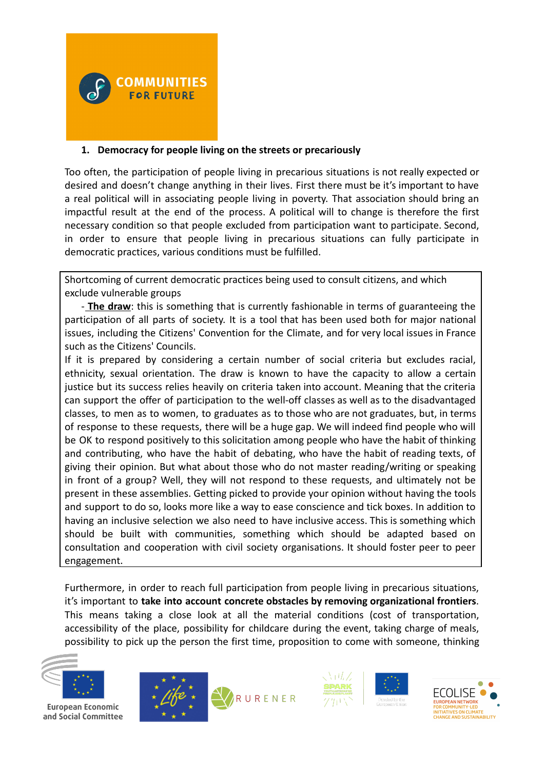

### **1. Democracy for people living on the streets or precariously**

Too often, the participation of people living in precarious situations is not really expected or desired and doesn't change anything in their lives. First there must be it's important to have a real political will in associating people living in poverty. That association should bring an impactful result at the end of the process. A political will to change is therefore the first necessary condition so that people excluded from participation want to participate. Second, in order to ensure that people living in precarious situations can fully participate in democratic practices, various conditions must be fulfilled.

Shortcoming of current democratic practices being used to consult citizens, and which exclude vulnerable groups

- **The draw**: this is something that is currently fashionable in terms of guaranteeing the participation of all parts of society. It is a tool that has been used both for major national issues, including the Citizens' Convention for the Climate, and for very local issues in France such as the Citizens' Councils.

If it is prepared by considering a certain number of social criteria but excludes racial, ethnicity, sexual orientation. The draw is known to have the capacity to allow a certain justice but its success relies heavily on criteria taken into account. Meaning that the criteria can support the offer of participation to the well-off classes as well as to the disadvantaged classes, to men as to women, to graduates as to those who are not graduates, but, in terms of response to these requests, there will be a huge gap. We will indeed find people who will be OK to respond positively to this solicitation among people who have the habit of thinking and contributing, who have the habit of debating, who have the habit of reading texts, of giving their opinion. But what about those who do not master reading/writing or speaking in front of a group? Well, they will not respond to these requests, and ultimately not be present in these assemblies. Getting picked to provide your opinion without having the tools and support to do so, looks more like a way to ease conscience and tick boxes. In addition to having an inclusive selection we also need to have inclusive access. This is something which should be built with communities, something which should be adapted based on consultation and cooperation with civil society organisations. It should foster peer to peer engagement.

Furthermore, in order to reach full participation from people living in precarious situations, it's important to **take into account concrete obstacles by removing organizational frontiers**. This means taking a close look at all the material conditions (cost of transportation, accessibility of the place, possibility for childcare during the event, taking charge of meals, possibility to pick up the person the first time, proposition to come with someone, thinking



**European Economic** and Social Committee







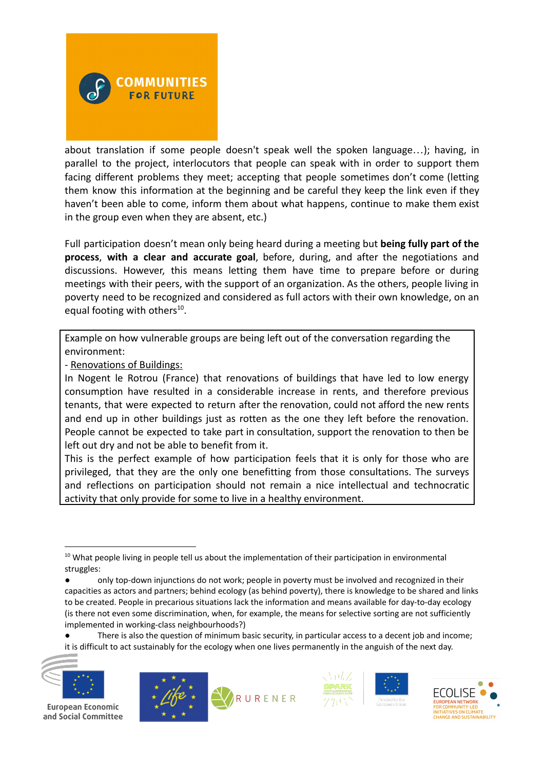

about translation if some people doesn't speak well the spoken language…); having, in parallel to the project, interlocutors that people can speak with in order to support them facing different problems they meet; accepting that people sometimes don't come (letting them know this information at the beginning and be careful they keep the link even if they haven't been able to come, inform them about what happens, continue to make them exist in the group even when they are absent, etc.)

Full participation doesn't mean only being heard during a meeting but **being fully part of the process**, **with a clear and accurate goal**, before, during, and after the negotiations and discussions. However, this means letting them have time to prepare before or during meetings with their peers, with the support of an organization. As the others, people living in poverty need to be recognized and considered as full actors with their own knowledge, on an equal footing with others<sup>10</sup>.

Example on how vulnerable groups are being left out of the conversation regarding the environment:

- Renovations of Buildings:

In Nogent le Rotrou (France) that renovations of buildings that have led to low energy consumption have resulted in a considerable increase in rents, and therefore previous tenants, that were expected to return after the renovation, could not afford the new rents and end up in other buildings just as rotten as the one they left before the renovation. People cannot be expected to take part in consultation, support the renovation to then be left out dry and not be able to benefit from it.

This is the perfect example of how participation feels that it is only for those who are privileged, that they are the only one benefitting from those consultations. The surveys and reflections on participation should not remain a nice intellectual and technocratic activity that only provide for some to live in a healthy environment.

<sup>●</sup> There is also the question of minimum basic security, in particular access to a decent job and income; it is difficult to act sustainably for the ecology when one lives permanently in the anguish of the next day.



**European Economic** and Social Committee









<sup>&</sup>lt;sup>10</sup> What people living in people tell us about the implementation of their participation in environmental struggles:

<sup>●</sup> only top-down injunctions do not work; people in poverty must be involved and recognized in their capacities as actors and partners; behind ecology (as behind poverty), there is knowledge to be shared and links to be created. People in precarious situations lack the information and means available for day-to-day ecology (is there not even some discrimination, when, for example, the means for selective sorting are not sufficiently implemented in working-class neighbourhoods?)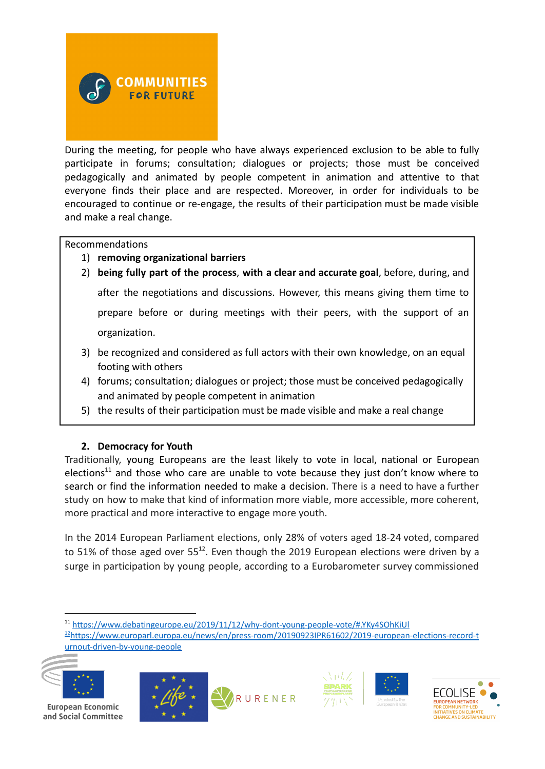

During the meeting, for people who have always experienced exclusion to be able to fully participate in forums; consultation; dialogues or projects; those must be conceived pedagogically and animated by people competent in animation and attentive to that everyone finds their place and are respected. Moreover, in order for individuals to be encouraged to continue or re-engage, the results of their participation must be made visible and make a real change.

#### Recommendations

- 1) **removing organizational barriers**
- 2) **being fully part of the process**, **with a clear and accurate goal**, before, during, and after the negotiations and discussions. However, this means giving them time to prepare before or during meetings with their peers, with the support of an organization.
- 3) be recognized and considered as full actors with their own knowledge, on an equal footing with others
- 4) forums; consultation; dialogues or project; those must be conceived pedagogically and animated by people competent in animation
- 5) the results of their participation must be made visible and make a real change

#### **2. Democracy for Youth**

Traditionally, young Europeans are the least likely to vote in local, national or European elections<sup>11</sup> and those who care are unable to vote because they just don't know where to search or find the information needed to make a decision. There is a need to have a further study on how to make that kind of information more viable, more accessible, more coherent, more practical and more interactive to engage more youth.

In the 2014 European Parliament elections, only 28% of voters aged 18-24 voted, compared to 51% of those aged over 55<sup>12</sup>. Even though the 2019 European elections were driven by a surge in participation by young people, according to a Eurobarometer survey commissioned

[urnout-driven-by-young-people](https://www.europarl.europa.eu/news/en/press-room/20190923IPR61602/2019-european-elections-record-turnout-driven-by-young-people)













<sup>12</sup>[https://www.europarl.europa.eu/news/en/press-room/20190923IPR61602/2019-european-elections-record-t](https://www.europarl.europa.eu/news/en/press-room/20190923IPR61602/2019-european-elections-record-turnout-driven-by-young-people) <sup>11</sup> <https://www.debatingeurope.eu/2019/11/12/why-dont-young-people-vote/#.YKy4SOhKiUl>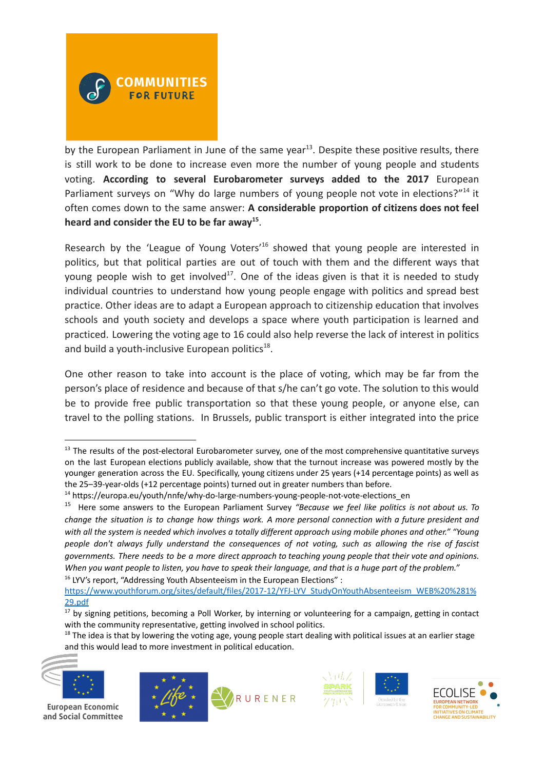

by the European Parliament in June of the same year<sup>13</sup>. Despite these positive results, there is still work to be done to increase even more the number of young people and students voting. **According to several Eurobarometer surveys added to the 2017** European Parliament surveys on "Why do large numbers of young people not vote in elections?"<sup>14</sup> it often comes down to the same answer: **A considerable proportion of citizens does not feel heard and consider the EU to be far away 15** .

Research by the 'League of Young Voters'<sup>16</sup> showed that young people are interested in politics, but that political parties are out of touch with them and the different ways that young people wish to get involved<sup>17</sup>. One of the ideas given is that it is needed to study individual countries to understand how young people engage with politics and spread best practice. Other ideas are to adapt a European approach to citizenship education that involves schools and youth society and develops a space where youth participation is learned and practiced. Lowering the voting age to 16 could also help reverse the lack of interest in politics and build a youth-inclusive European politics<sup>18</sup>.

One other reason to take into account is the place of voting, which may be far from the person's place of residence and because of that s/he can't go vote. The solution to this would be to provide free public transportation so that these young people, or anyone else, can travel to the polling stations. In Brussels, public transport is either integrated into the price

 $16$  LYV's report, "Addressing Youth Absenteeism in the European Elections" :

 $18$  The idea is that by lowering the voting age, young people start dealing with political issues at an earlier stage and this would lead to more investment in political education.



**European Economic** and Social Committee









<sup>&</sup>lt;sup>13</sup> The results of the post-electoral Eurobarometer survey, one of the most comprehensive quantitative surveys on the last European elections publicly available, show that the turnout increase was powered mostly by the younger generation across the EU. Specifically, young citizens under 25 years (+14 percentage points) as well as the 25–39-year-olds (+12 percentage points) turned out in greater numbers than before.

<sup>&</sup>lt;sup>14</sup> https://europa.eu/youth/nnfe/why-do-large-numbers-young-people-not-vote-elections\_en

<sup>15</sup> Here some answers to the European Parliament Survey *"Because we feel like politics is not about us. To* change the situation is to change how things work. A more personal connection with a future president and with all the system is needed which involves a totally different approach using mobile phones and other." "Young *people don't always fully understand the consequences of not voting, such as allowing the rise of fascist* governments. There needs to be a more direct approach to teaching young people that their vote and opinions. When you want people to listen, you have to speak their language, and that is a huge part of the problem."

[https://www.youthforum.org/sites/default/files/2017-12/YFJ-LYV\\_StudyOnYouthAbsenteeism\\_WEB%20%281%](https://www.youthforum.org/sites/default/files/2017-12/YFJ-LYV_StudyOnYouthAbsenteeism_WEB%20%281%29.pdf) [29.pdf](https://www.youthforum.org/sites/default/files/2017-12/YFJ-LYV_StudyOnYouthAbsenteeism_WEB%20%281%29.pdf)

<sup>&</sup>lt;sup>17</sup> by signing petitions, becoming a Poll Worker, by interning or volunteering for a campaign, getting in contact with the community representative, getting involved in school politics.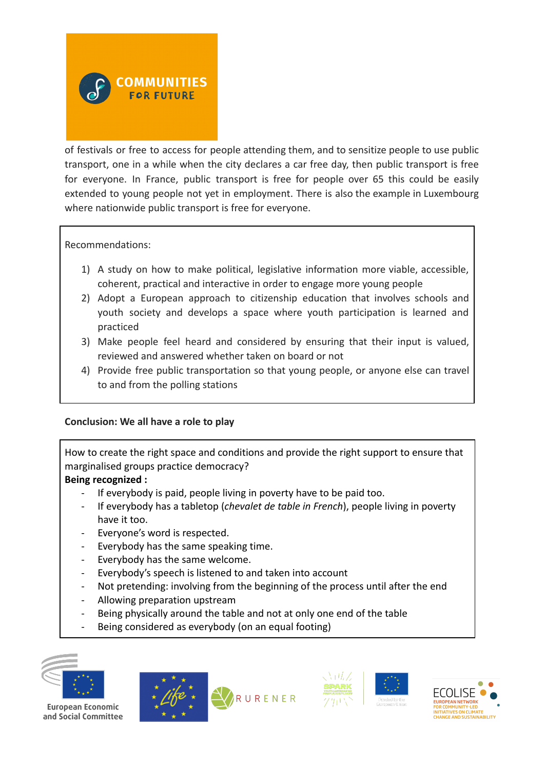

of festivals or free to access for people attending them, and to sensitize people to use public transport, one in a while when the city declares a car free day, then public transport is free for everyone. In France, public transport is free for people over 65 this could be easily extended to young people not yet in employment. There is also the example in Luxembourg where nationwide public transport is free for everyone.

Recommendations:

- 1) A study on how to make political, legislative information more viable, accessible, coherent, practical and interactive in order to engage more young people
- 2) Adopt a European approach to citizenship education that involves schools and youth society and develops a space where youth participation is learned and practiced
- 3) Make people feel heard and considered by ensuring that their input is valued, reviewed and answered whether taken on board or not
- 4) Provide free public transportation so that young people, or anyone else can travel to and from the polling stations

# **Conclusion: We all have a role to play**

How to create the right space and conditions and provide the right support to ensure that marginalised groups practice democracy?

# **Being recognized :**

- If everybody is paid, people living in poverty have to be paid too.
- If everybody has a tabletop (*chevalet de table in French*), people living in poverty have it too.
- Everyone's word is respected.
- Everybody has the same speaking time.
- Everybody has the same welcome.
- Everybody's speech is listened to and taken into account
- Not pretending: involving from the beginning of the process until after the end
- Allowing preparation upstream
- Being physically around the table and not at only one end of the table
- Being considered as everybody (on an equal footing)



**European Economic** and Social Committee